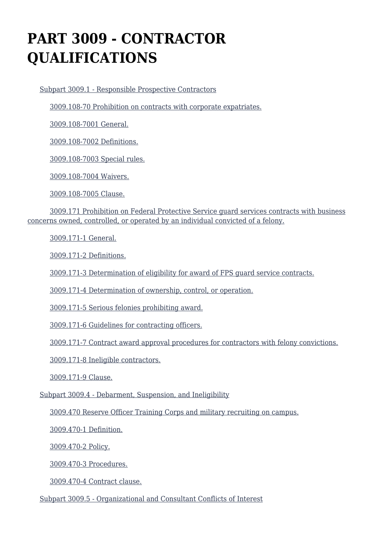# **PART 3009 - CONTRACTOR QUALIFICATIONS**

[Subpart 3009.1 - Responsible Prospective Contractors](https://origin-www.acquisition.gov/%5Brp:link:hsar-part-3009%5D#Subpart_3009_1_T48_7029101)

[3009.108-70 Prohibition on contracts with corporate expatriates.](https://origin-www.acquisition.gov/%5Brp:link:hsar-part-3009%5D#Section_3009_108_70_T48_702910111)

[3009.108-7001 General.](https://origin-www.acquisition.gov/%5Brp:link:hsar-part-3009%5D#Section_3009_108_7001_T48_702910112)

[3009.108-7002 Definitions.](https://origin-www.acquisition.gov/%5Brp:link:hsar-part-3009%5D#Section_3009_108_7002_T48_702910113)

[3009.108-7003 Special rules.](https://origin-www.acquisition.gov/%5Brp:link:hsar-part-3009%5D#Section_3009_108_7003_T48_702910114)

[3009.108-7004 Waivers.](https://origin-www.acquisition.gov/%5Brp:link:hsar-part-3009%5D#Section_3009_108_7004_T48_702910115)

[3009.108-7005 Clause.](https://origin-www.acquisition.gov/%5Brp:link:hsar-part-3009%5D#Section_3009_108_7005_T48_702910116)

 [3009.171 Prohibition on Federal Protective Service guard services contracts with business](https://origin-www.acquisition.gov/%5Brp:link:hsar-part-3009%5D#Section_3009_171_T48_702910117) [concerns owned, controlled, or operated by an individual convicted of a felony.](https://origin-www.acquisition.gov/%5Brp:link:hsar-part-3009%5D#Section_3009_171_T48_702910117)

[3009.171-1 General.](https://origin-www.acquisition.gov/%5Brp:link:hsar-part-3009%5D#Section_3009_171_1_T48_702910118)

[3009.171-2 Definitions.](https://origin-www.acquisition.gov/%5Brp:link:hsar-part-3009%5D#Section_3009_171_2_T48_702910119)

[3009.171-3 Determination of eligibility for award of FPS guard service contracts.](https://origin-www.acquisition.gov/%5Brp:link:hsar-part-3009%5D#Section_3009_171_3_T48_7029101110)

[3009.171-4 Determination of ownership, control, or operation.](https://origin-www.acquisition.gov/%5Brp:link:hsar-part-3009%5D#Section_3009_171_4_T48_7029101111)

[3009.171-5 Serious felonies prohibiting award.](https://origin-www.acquisition.gov/%5Brp:link:hsar-part-3009%5D#Section_3009_171_5_T48_7029101112)

[3009.171-6 Guidelines for contracting officers.](https://origin-www.acquisition.gov/%5Brp:link:hsar-part-3009%5D#Section_3009_171_6_T48_7029101113)

[3009.171-7 Contract award approval procedures for contractors with felony convictions.](https://origin-www.acquisition.gov/%5Brp:link:hsar-part-3009%5D#Section_3009_171_7_T48_7029101114)

[3009.171-8 Ineligible contractors.](https://origin-www.acquisition.gov/%5Brp:link:hsar-part-3009%5D#Section_3009_171_8_T48_7029101115)

[3009.171-9 Clause.](https://origin-www.acquisition.gov/%5Brp:link:hsar-part-3009%5D#Section_3009_171_9_T48_7029101116)

[Subpart 3009.4 - Debarment, Suspension, and Ineligibility](https://origin-www.acquisition.gov/%5Brp:link:hsar-part-3009%5D#Subpart_3009_4_T48_7029102)

[3009.470 Reserve Officer Training Corps and military recruiting on campus.](https://origin-www.acquisition.gov/%5Brp:link:hsar-part-3009%5D#Section_3009_470_T48_702910211)

[3009.470-1 Definition.](https://origin-www.acquisition.gov/%5Brp:link:hsar-part-3009%5D#Section_3009_470_1_T48_702910212)

[3009.470-2 Policy.](https://origin-www.acquisition.gov/%5Brp:link:hsar-part-3009%5D#Section_3009_470_2_T48_702910213)

[3009.470-3 Procedures.](https://origin-www.acquisition.gov/%5Brp:link:hsar-part-3009%5D#Section_3009_470_3_T48_702910214)

[3009.470-4 Contract clause.](https://origin-www.acquisition.gov/%5Brp:link:hsar-part-3009%5D#Section_3009_470_4_T48_702910215)

[Subpart 3009.5 - Organizational and Consultant Conflicts of Interest](https://origin-www.acquisition.gov/%5Brp:link:hsar-part-3009%5D#Subpart_3009_5_T48_7029103)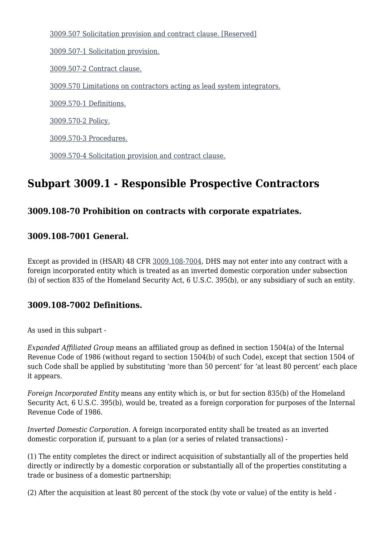[3009.507 Solicitation provision and contract clause. \[Reserved\]](https://origin-www.acquisition.gov/%5Brp:link:hsar-part-3009%5D#Section_3009_507_T48_702910311)

[3009.507-1 Solicitation provision.](https://origin-www.acquisition.gov/%5Brp:link:hsar-part-3009%5D#Section_3009_507_1_T48_702910312)

[3009.507-2 Contract clause.](https://origin-www.acquisition.gov/%5Brp:link:hsar-part-3009%5D#Section_3009_507_2_T48_702910313)

[3009.570 Limitations on contractors acting as lead system integrators.](https://origin-www.acquisition.gov/%5Brp:link:hsar-part-3009%5D#Section_3009_570_T48_702910314)

[3009.570-1 Definitions.](https://origin-www.acquisition.gov/%5Brp:link:hsar-part-3009%5D#Section_3009_570_1_T48_702910315)

[3009.570-2 Policy.](https://origin-www.acquisition.gov/%5Brp:link:hsar-part-3009%5D#Section_3009_570_2_T48_702910316)

[3009.570-3 Procedures.](https://origin-www.acquisition.gov/%5Brp:link:hsar-part-3009%5D#Section_3009_570_3_T48_702910317)

[3009.570-4 Solicitation provision and contract clause.](https://origin-www.acquisition.gov/%5Brp:link:hsar-part-3009%5D#Section_3009_570_4_T48_702910318)

# **Subpart 3009.1 - Responsible Prospective Contractors**

### **3009.108-70 Prohibition on contracts with corporate expatriates.**

#### **3009.108-7001 General.**

Except as provided in (HSAR) 48 CFR [3009.108-7004,](https://origin-www.acquisition.gov/%5Brp:link:hsar-part-3009%5D#Section_3009_108_7004_T48_702910115) DHS may not enter into any contract with a foreign incorporated entity which is treated as an inverted domestic corporation under subsection (b) of section 835 of the Homeland Security Act, 6 U.S.C. 395(b), or any subsidiary of such an entity.

#### **3009.108-7002 Definitions.**

As used in this subpart -

*Expanded Affiliated Group* means an affiliated group as defined in section 1504(a) of the Internal Revenue Code of 1986 (without regard to section 1504(b) of such Code), except that section 1504 of such Code shall be applied by substituting 'more than 50 percent' for 'at least 80 percent' each place it appears.

*Foreign Incorporated Entity* means any entity which is, or but for section 835(b) of the Homeland Security Act, 6 U.S.C. 395(b), would be, treated as a foreign corporation for purposes of the Internal Revenue Code of 1986.

*Inverted Domestic Corporation.* A foreign incorporated entity shall be treated as an inverted domestic corporation if, pursuant to a plan (or a series of related transactions) -

(1) The entity completes the direct or indirect acquisition of substantially all of the properties held directly or indirectly by a domestic corporation or substantially all of the properties constituting a trade or business of a domestic partnership;

(2) After the acquisition at least 80 percent of the stock (by vote or value) of the entity is held -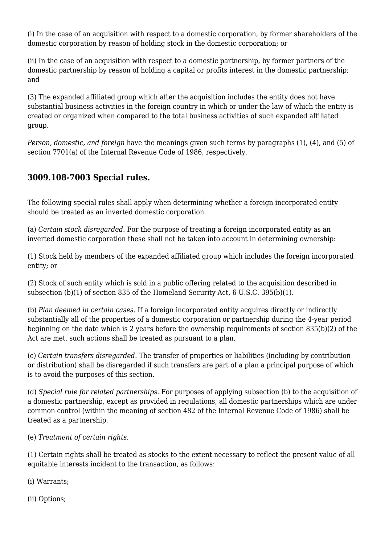(i) In the case of an acquisition with respect to a domestic corporation, by former shareholders of the domestic corporation by reason of holding stock in the domestic corporation; or

(ii) In the case of an acquisition with respect to a domestic partnership, by former partners of the domestic partnership by reason of holding a capital or profits interest in the domestic partnership; and

(3) The expanded affiliated group which after the acquisition includes the entity does not have substantial business activities in the foreign country in which or under the law of which the entity is created or organized when compared to the total business activities of such expanded affiliated group.

*Person, domestic, and foreign* have the meanings given such terms by paragraphs (1), (4), and (5) of section 7701(a) of the Internal Revenue Code of 1986, respectively.

# **3009.108-7003 Special rules.**

The following special rules shall apply when determining whether a foreign incorporated entity should be treated as an inverted domestic corporation.

(a) *Certain stock disregarded.* For the purpose of treating a foreign incorporated entity as an inverted domestic corporation these shall not be taken into account in determining ownership:

(1) Stock held by members of the expanded affiliated group which includes the foreign incorporated entity; or

(2) Stock of such entity which is sold in a public offering related to the acquisition described in subsection (b)(1) of section 835 of the Homeland Security Act, 6 U.S.C. 395(b)(1).

(b) *Plan deemed in certain cases.* If a foreign incorporated entity acquires directly or indirectly substantially all of the properties of a domestic corporation or partnership during the 4-year period beginning on the date which is 2 years before the ownership requirements of section 835(b)(2) of the Act are met, such actions shall be treated as pursuant to a plan.

(c) *Certain transfers disregarded.* The transfer of properties or liabilities (including by contribution or distribution) shall be disregarded if such transfers are part of a plan a principal purpose of which is to avoid the purposes of this section.

(d) *Special rule for related partnerships.* For purposes of applying subsection (b) to the acquisition of a domestic partnership, except as provided in regulations, all domestic partnerships which are under common control (within the meaning of section 482 of the Internal Revenue Code of 1986) shall be treated as a partnership.

(e) *Treatment of certain rights.*

(1) Certain rights shall be treated as stocks to the extent necessary to reflect the present value of all equitable interests incident to the transaction, as follows:

(i) Warrants;

(ii) Options;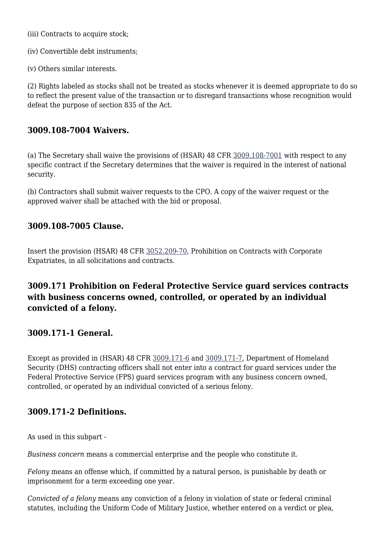(iii) Contracts to acquire stock;

(iv) Convertible debt instruments;

(v) Others similar interests.

(2) Rights labeled as stocks shall not be treated as stocks whenever it is deemed appropriate to do so to reflect the present value of the transaction or to disregard transactions whose recognition would defeat the purpose of section 835 of the Act.

### **3009.108-7004 Waivers.**

(a) The Secretary shall waive the provisions of (HSAR) 48 CFR [3009.108-7001](https://origin-www.acquisition.gov/%5Brp:link:hsar-part-3009%5D#Section_3009_108_7001_T48_702910112) with respect to any specific contract if the Secretary determines that the waiver is required in the interest of national security.

(b) Contractors shall submit waiver requests to the CPO. A copy of the waiver request or the approved waiver shall be attached with the bid or proposal.

### **3009.108-7005 Clause.**

Insert the provision (HSAR) 48 CFR [3052.209-70](https://origin-www.acquisition.gov/%5Brp:link:hsar-part-3052%5D#Section_3052_209_70_T48_7021551215), Prohibition on Contracts with Corporate Expatriates, in all solicitations and contracts.

# **3009.171 Prohibition on Federal Protective Service guard services contracts with business concerns owned, controlled, or operated by an individual convicted of a felony.**

### **3009.171-1 General.**

Except as provided in (HSAR) 48 CFR [3009.171-6](https://origin-www.acquisition.gov/%5Brp:link:hsar-part-3009%5D#Section_3009_171_6_T48_7029101113) and [3009.171-7,](https://origin-www.acquisition.gov/%5Brp:link:hsar-part-3009%5D#Section_3009_171_7_T48_7029101114) Department of Homeland Security (DHS) contracting officers shall not enter into a contract for guard services under the Federal Protective Service (FPS) guard services program with any business concern owned, controlled, or operated by an individual convicted of a serious felony.

### **3009.171-2 Definitions.**

As used in this subpart -

*Business concern* means a commercial enterprise and the people who constitute it.

*Felony* means an offense which, if committed by a natural person, is punishable by death or imprisonment for a term exceeding one year.

*Convicted of a felony* means any conviction of a felony in violation of state or federal criminal statutes, including the Uniform Code of Military Justice, whether entered on a verdict or plea,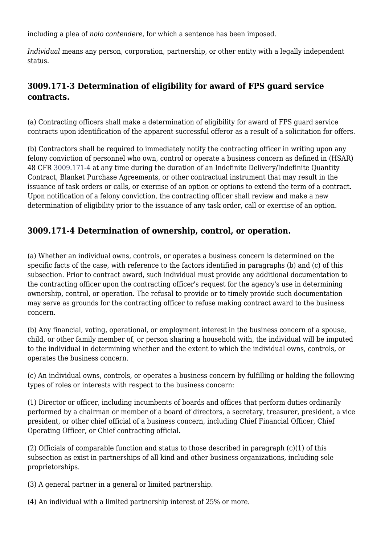including a plea of *nolo contendere*, for which a sentence has been imposed.

*Individual* means any person, corporation, partnership, or other entity with a legally independent status.

# **3009.171-3 Determination of eligibility for award of FPS guard service contracts.**

(a) Contracting officers shall make a determination of eligibility for award of FPS guard service contracts upon identification of the apparent successful offeror as a result of a solicitation for offers.

(b) Contractors shall be required to immediately notify the contracting officer in writing upon any felony conviction of personnel who own, control or operate a business concern as defined in (HSAR) 48 CFR [3009.171-4](https://origin-www.acquisition.gov/%5Brp:link:hsar-part-3009%5D#Section_3009_171_4_T48_7029101111) at any time during the duration of an Indefinite Delivery/Indefinite Quantity Contract, Blanket Purchase Agreements, or other contractual instrument that may result in the issuance of task orders or calls, or exercise of an option or options to extend the term of a contract. Upon notification of a felony conviction, the contracting officer shall review and make a new determination of eligibility prior to the issuance of any task order, call or exercise of an option.

### **3009.171-4 Determination of ownership, control, or operation.**

(a) Whether an individual owns, controls, or operates a business concern is determined on the specific facts of the case, with reference to the factors identified in paragraphs (b) and (c) of this subsection. Prior to contract award, such individual must provide any additional documentation to the contracting officer upon the contracting officer's request for the agency's use in determining ownership, control, or operation. The refusal to provide or to timely provide such documentation may serve as grounds for the contracting officer to refuse making contract award to the business concern.

(b) Any financial, voting, operational, or employment interest in the business concern of a spouse, child, or other family member of, or person sharing a household with, the individual will be imputed to the individual in determining whether and the extent to which the individual owns, controls, or operates the business concern.

(c) An individual owns, controls, or operates a business concern by fulfilling or holding the following types of roles or interests with respect to the business concern:

(1) Director or officer, including incumbents of boards and offices that perform duties ordinarily performed by a chairman or member of a board of directors, a secretary, treasurer, president, a vice president, or other chief official of a business concern, including Chief Financial Officer, Chief Operating Officer, or Chief contracting official.

(2) Officials of comparable function and status to those described in paragraph (c)(1) of this subsection as exist in partnerships of all kind and other business organizations, including sole proprietorships.

(3) A general partner in a general or limited partnership.

(4) An individual with a limited partnership interest of 25% or more.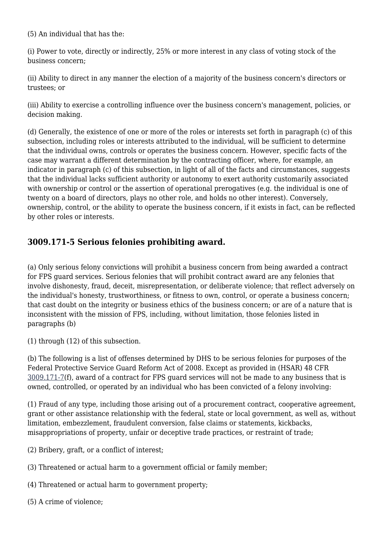(5) An individual that has the:

(i) Power to vote, directly or indirectly, 25% or more interest in any class of voting stock of the business concern;

(ii) Ability to direct in any manner the election of a majority of the business concern's directors or trustees; or

(iii) Ability to exercise a controlling influence over the business concern's management, policies, or decision making.

(d) Generally, the existence of one or more of the roles or interests set forth in paragraph (c) of this subsection, including roles or interests attributed to the individual, will be sufficient to determine that the individual owns, controls or operates the business concern. However, specific facts of the case may warrant a different determination by the contracting officer, where, for example, an indicator in paragraph (c) of this subsection, in light of all of the facts and circumstances, suggests that the individual lacks sufficient authority or autonomy to exert authority customarily associated with ownership or control or the assertion of operational prerogatives (e.g. the individual is one of twenty on a board of directors, plays no other role, and holds no other interest). Conversely, ownership, control, or the ability to operate the business concern, if it exists in fact, can be reflected by other roles or interests.

# **3009.171-5 Serious felonies prohibiting award.**

(a) Only serious felony convictions will prohibit a business concern from being awarded a contract for FPS guard services. Serious felonies that will prohibit contract award are any felonies that involve dishonesty, fraud, deceit, misrepresentation, or deliberate violence; that reflect adversely on the individual's honesty, trustworthiness, or fitness to own, control, or operate a business concern; that cast doubt on the integrity or business ethics of the business concern; or are of a nature that is inconsistent with the mission of FPS, including, without limitation, those felonies listed in paragraphs (b)

(1) through (12) of this subsection.

(b) The following is a list of offenses determined by DHS to be serious felonies for purposes of the Federal Protective Service Guard Reform Act of 2008. Except as provided in (HSAR) 48 CFR [3009.171-7](https://origin-www.acquisition.gov/%5Brp:link:hsar-part-3009%5D#Section_3009_171_7_T48_7029101114)(f), award of a contract for FPS guard services will not be made to any business that is owned, controlled, or operated by an individual who has been convicted of a felony involving:

(1) Fraud of any type, including those arising out of a procurement contract, cooperative agreement, grant or other assistance relationship with the federal, state or local government, as well as, without limitation, embezzlement, fraudulent conversion, false claims or statements, kickbacks, misappropriations of property, unfair or deceptive trade practices, or restraint of trade;

- (2) Bribery, graft, or a conflict of interest;
- (3) Threatened or actual harm to a government official or family member;
- (4) Threatened or actual harm to government property;
- (5) A crime of violence;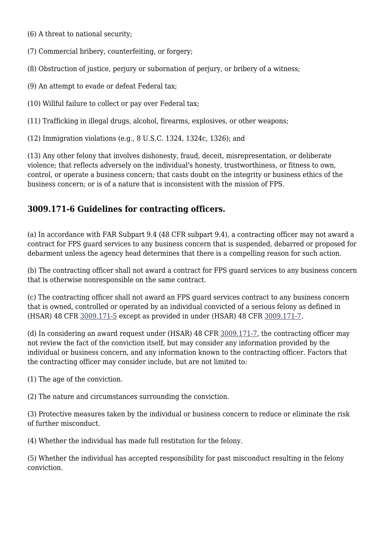- (6) A threat to national security;
- (7) Commercial bribery, counterfeiting, or forgery;
- (8) Obstruction of justice, perjury or subornation of perjury, or bribery of a witness;
- (9) An attempt to evade or defeat Federal tax;
- (10) Willful failure to collect or pay over Federal tax;
- (11) Trafficking in illegal drugs, alcohol, firearms, explosives, or other weapons;
- (12) Immigration violations (e.g., 8 U.S.C. 1324, 1324c, 1326); and

(13) Any other felony that involves dishonesty, fraud, deceit, misrepresentation, or deliberate violence; that reflects adversely on the individual's honesty, trustworthiness, or fitness to own, control, or operate a business concern; that casts doubt on the integrity or business ethics of the business concern; or is of a nature that is inconsistent with the mission of FPS.

### **3009.171-6 Guidelines for contracting officers.**

(a) In accordance with FAR Subpart 9.4 (48 CFR subpart 9.4), a contracting officer may not award a contract for FPS guard services to any business concern that is suspended, debarred or proposed for debarment unless the agency head determines that there is a compelling reason for such action.

(b) The contracting officer shall not award a contract for FPS guard services to any business concern that is otherwise nonresponsible on the same contract.

(c) The contracting officer shall not award an FPS guard services contract to any business concern that is owned, controlled or operated by an individual convicted of a serious felony as defined in (HSAR) 48 CFR [3009.171-5](https://origin-www.acquisition.gov/%5Brp:link:hsar-part-3009%5D#Section_3009_171_5_T48_7029101112) except as provided in under (HSAR) 48 CFR [3009.171-7.](https://origin-www.acquisition.gov/%5Brp:link:hsar-part-3009%5D#Section_3009_171_7_T48_7029101114)

(d) In considering an award request under (HSAR) 48 CFR [3009.171-7,](https://origin-www.acquisition.gov/%5Brp:link:hsar-part-3009%5D#Section_3009_171_7_T48_7029101114) the contracting officer may not review the fact of the conviction itself, but may consider any information provided by the individual or business concern, and any information known to the contracting officer. Factors that the contracting officer may consider include, but are not limited to:

(1) The age of the conviction.

(2) The nature and circumstances surrounding the conviction.

(3) Protective measures taken by the individual or business concern to reduce or eliminate the risk of further misconduct.

(4) Whether the individual has made full restitution for the felony.

(5) Whether the individual has accepted responsibility for past misconduct resulting in the felony conviction.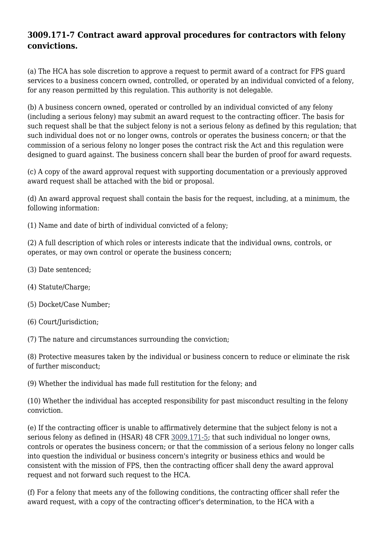# **3009.171-7 Contract award approval procedures for contractors with felony convictions.**

(a) The HCA has sole discretion to approve a request to permit award of a contract for FPS guard services to a business concern owned, controlled, or operated by an individual convicted of a felony, for any reason permitted by this regulation. This authority is not delegable.

(b) A business concern owned, operated or controlled by an individual convicted of any felony (including a serious felony) may submit an award request to the contracting officer. The basis for such request shall be that the subject felony is not a serious felony as defined by this regulation; that such individual does not or no longer owns, controls or operates the business concern; or that the commission of a serious felony no longer poses the contract risk the Act and this regulation were designed to guard against. The business concern shall bear the burden of proof for award requests.

(c) A copy of the award approval request with supporting documentation or a previously approved award request shall be attached with the bid or proposal.

(d) An award approval request shall contain the basis for the request, including, at a minimum, the following information:

(1) Name and date of birth of individual convicted of a felony;

(2) A full description of which roles or interests indicate that the individual owns, controls, or operates, or may own control or operate the business concern;

- (3) Date sentenced;
- (4) Statute/Charge;
- (5) Docket/Case Number;
- (6) Court/Jurisdiction;

(7) The nature and circumstances surrounding the conviction;

(8) Protective measures taken by the individual or business concern to reduce or eliminate the risk of further misconduct;

(9) Whether the individual has made full restitution for the felony; and

(10) Whether the individual has accepted responsibility for past misconduct resulting in the felony conviction.

(e) If the contracting officer is unable to affirmatively determine that the subject felony is not a serious felony as defined in (HSAR) 48 CFR [3009.171-5;](https://origin-www.acquisition.gov/%5Brp:link:hsar-part-3009%5D#Section_3009_171_5_T48_7029101112) that such individual no longer owns, controls or operates the business concern; or that the commission of a serious felony no longer calls into question the individual or business concern's integrity or business ethics and would be consistent with the mission of FPS, then the contracting officer shall deny the award approval request and not forward such request to the HCA.

(f) For a felony that meets any of the following conditions, the contracting officer shall refer the award request, with a copy of the contracting officer's determination, to the HCA with a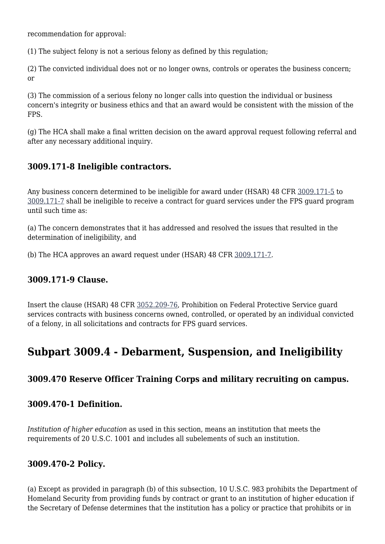recommendation for approval:

(1) The subject felony is not a serious felony as defined by this regulation;

(2) The convicted individual does not or no longer owns, controls or operates the business concern; or

(3) The commission of a serious felony no longer calls into question the individual or business concern's integrity or business ethics and that an award would be consistent with the mission of the FPS.

(g) The HCA shall make a final written decision on the award approval request following referral and after any necessary additional inquiry.

### **3009.171-8 Ineligible contractors.**

Any business concern determined to be ineligible for award under (HSAR) 48 CFR [3009.171-5](https://origin-www.acquisition.gov/%5Brp:link:hsar-part-3009%5D#Section_3009_171_5_T48_7029101112) to [3009.171-7](https://origin-www.acquisition.gov/%5Brp:link:hsar-part-3009%5D#Section_3009_171_7_T48_7029101114) shall be ineligible to receive a contract for guard services under the FPS guard program until such time as:

(a) The concern demonstrates that it has addressed and resolved the issues that resulted in the determination of ineligibility, and

(b) The HCA approves an award request under (HSAR) 48 CFR [3009.171-7.](https://origin-www.acquisition.gov/%5Brp:link:hsar-part-3009%5D#Section_3009_171_7_T48_7029101114)

### **3009.171-9 Clause.**

Insert the clause (HSAR) 48 CFR [3052.209-76,](https://origin-www.acquisition.gov/%5Brp:link:hsar-part-3052%5D#Section_3052_209_76_T48_70215512111) Prohibition on Federal Protective Service guard services contracts with business concerns owned, controlled, or operated by an individual convicted of a felony, in all solicitations and contracts for FPS guard services.

# **Subpart 3009.4 - Debarment, Suspension, and Ineligibility**

### **3009.470 Reserve Officer Training Corps and military recruiting on campus.**

### **3009.470-1 Definition.**

*Institution of higher education* as used in this section, means an institution that meets the requirements of 20 U.S.C. 1001 and includes all subelements of such an institution.

### **3009.470-2 Policy.**

(a) Except as provided in paragraph (b) of this subsection, 10 U.S.C. 983 prohibits the Department of Homeland Security from providing funds by contract or grant to an institution of higher education if the Secretary of Defense determines that the institution has a policy or practice that prohibits or in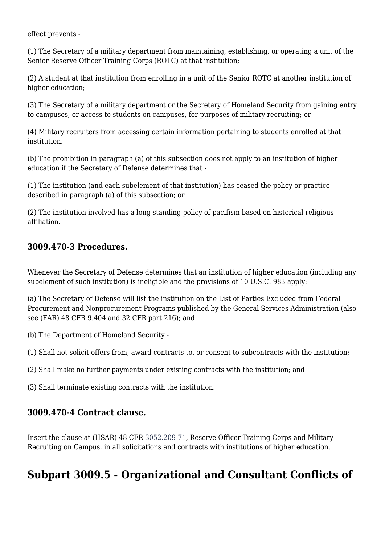effect prevents -

(1) The Secretary of a military department from maintaining, establishing, or operating a unit of the Senior Reserve Officer Training Corps (ROTC) at that institution;

(2) A student at that institution from enrolling in a unit of the Senior ROTC at another institution of higher education;

(3) The Secretary of a military department or the Secretary of Homeland Security from gaining entry to campuses, or access to students on campuses, for purposes of military recruiting; or

(4) Military recruiters from accessing certain information pertaining to students enrolled at that institution.

(b) The prohibition in paragraph (a) of this subsection does not apply to an institution of higher education if the Secretary of Defense determines that -

(1) The institution (and each subelement of that institution) has ceased the policy or practice described in paragraph (a) of this subsection; or

(2) The institution involved has a long-standing policy of pacifism based on historical religious affiliation.

### **3009.470-3 Procedures.**

Whenever the Secretary of Defense determines that an institution of higher education (including any subelement of such institution) is ineligible and the provisions of 10 U.S.C. 983 apply:

(a) The Secretary of Defense will list the institution on the List of Parties Excluded from Federal Procurement and Nonprocurement Programs published by the General Services Administration (also see (FAR) 48 CFR 9.404 and 32 CFR part 216); and

(b) The Department of Homeland Security -

(1) Shall not solicit offers from, award contracts to, or consent to subcontracts with the institution;

(2) Shall make no further payments under existing contracts with the institution; and

(3) Shall terminate existing contracts with the institution.

### **3009.470-4 Contract clause.**

Insert the clause at (HSAR) 48 CFR [3052.209-71,](https://origin-www.acquisition.gov/%5Brp:link:hsar-part-3052%5D#Section_3052_209_71_T48_7021551216) Reserve Officer Training Corps and Military Recruiting on Campus, in all solicitations and contracts with institutions of higher education.

# **Subpart 3009.5 - Organizational and Consultant Conflicts of**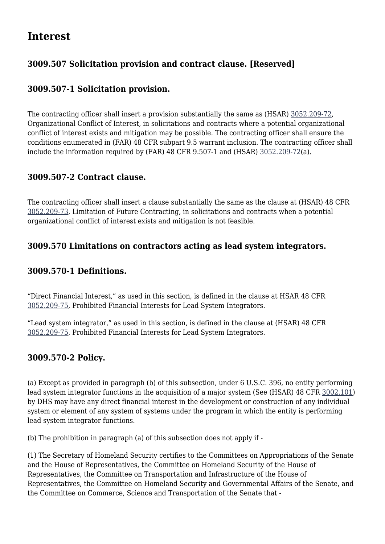# **Interest**

# **3009.507 Solicitation provision and contract clause. [Reserved]**

# **3009.507-1 Solicitation provision.**

The contracting officer shall insert a provision substantially the same as (HSAR) [3052.209-72,](https://origin-www.acquisition.gov/%5Brp:link:hsar-part-3052%5D#Section_3052_209_72_T48_7021551217) Organizational Conflict of Interest, in solicitations and contracts where a potential organizational conflict of interest exists and mitigation may be possible. The contracting officer shall ensure the conditions enumerated in (FAR) 48 CFR subpart 9.5 warrant inclusion. The contracting officer shall include the information required by (FAR) 48 CFR 9.507-1 and (HSAR) [3052.209-72](https://origin-www.acquisition.gov/%5Brp:link:hsar-part-3052%5D#Section_3052_209_72_T48_7021551217)(a).

### **3009.507-2 Contract clause.**

The contracting officer shall insert a clause substantially the same as the clause at (HSAR) 48 CFR [3052.209-73,](https://origin-www.acquisition.gov/%5Brp:link:hsar-part-3052%5D#Section_3052_209_73_T48_7021551218) Limitation of Future Contracting, in solicitations and contracts when a potential organizational conflict of interest exists and mitigation is not feasible.

### **3009.570 Limitations on contractors acting as lead system integrators.**

### **3009.570-1 Definitions.**

"Direct Financial Interest," as used in this section, is defined in the clause at HSAR 48 CFR [3052.209-75,](https://origin-www.acquisition.gov/%5Brp:link:hsar-part-3052%5D#Section_3052_209_75_T48_70215512110) Prohibited Financial Interests for Lead System Integrators.

"Lead system integrator," as used in this section, is defined in the clause at (HSAR) 48 CFR [3052.209-75,](https://origin-www.acquisition.gov/%5Brp:link:hsar-part-3052%5D#Section_3052_209_75_T48_70215512110) Prohibited Financial Interests for Lead System Integrators.

### **3009.570-2 Policy.**

(a) Except as provided in paragraph (b) of this subsection, under 6 U.S.C. 396, no entity performing lead system integrator functions in the acquisition of a major system (See (HSAR) 48 CFR [3002.101](https://origin-www.acquisition.gov/%5Brp:link:hsar-part-3002%5D#Section_3002_101_T48_70283111)) by DHS may have any direct financial interest in the development or construction of any individual system or element of any system of systems under the program in which the entity is performing lead system integrator functions.

(b) The prohibition in paragraph (a) of this subsection does not apply if -

(1) The Secretary of Homeland Security certifies to the Committees on Appropriations of the Senate and the House of Representatives, the Committee on Homeland Security of the House of Representatives, the Committee on Transportation and Infrastructure of the House of Representatives, the Committee on Homeland Security and Governmental Affairs of the Senate, and the Committee on Commerce, Science and Transportation of the Senate that -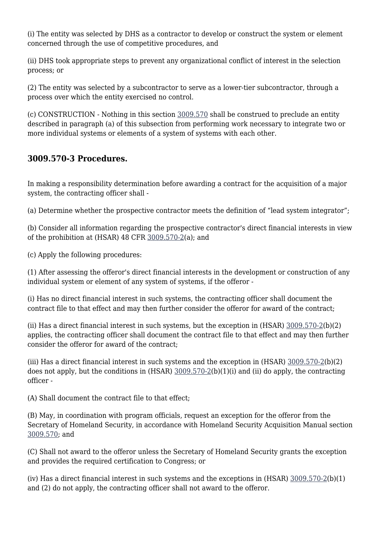(i) The entity was selected by DHS as a contractor to develop or construct the system or element concerned through the use of competitive procedures, and

(ii) DHS took appropriate steps to prevent any organizational conflict of interest in the selection process; or

(2) The entity was selected by a subcontractor to serve as a lower-tier subcontractor, through a process over which the entity exercised no control.

(c) CONSTRUCTION - Nothing in this section [3009.570](https://origin-www.acquisition.gov/%5Brp:link:hsar-part-3009%5D#Section_3009_570_T48_702910314) shall be construed to preclude an entity described in paragraph (a) of this subsection from performing work necessary to integrate two or more individual systems or elements of a system of systems with each other.

# **3009.570-3 Procedures.**

In making a responsibility determination before awarding a contract for the acquisition of a major system, the contracting officer shall -

(a) Determine whether the prospective contractor meets the definition of "lead system integrator";

(b) Consider all information regarding the prospective contractor's direct financial interests in view of the prohibition at (HSAR) 48 CFR [3009.570-2\(](https://origin-www.acquisition.gov/%5Brp:link:hsar-part-3009%5D#Section_3009_570_2_T48_702910316)a); and

(c) Apply the following procedures:

(1) After assessing the offeror's direct financial interests in the development or construction of any individual system or element of any system of systems, if the offeror -

(i) Has no direct financial interest in such systems, the contracting officer shall document the contract file to that effect and may then further consider the offeror for award of the contract;

(ii) Has a direct financial interest in such systems, but the exception in (HSAR) [3009.570-2\(](https://origin-www.acquisition.gov/%5Brp:link:hsar-part-3009%5D#Section_3009_570_2_T48_702910316)b)(2) applies, the contracting officer shall document the contract file to that effect and may then further consider the offeror for award of the contract;

(iii) Has a direct financial interest in such systems and the exception in (HSAR) [3009.570-2\(](https://origin-www.acquisition.gov/%5Brp:link:hsar-part-3009%5D#Section_3009_570_2_T48_702910316)b)(2) does not apply, but the conditions in (HSAR) [3009.570-2\(](https://origin-www.acquisition.gov/%5Brp:link:hsar-part-3009%5D#Section_3009_570_2_T48_702910316)b)(1)(i) and (ii) do apply, the contracting officer -

(A) Shall document the contract file to that effect;

(B) May, in coordination with program officials, request an exception for the offeror from the Secretary of Homeland Security, in accordance with Homeland Security Acquisition Manual section [3009.570;](https://origin-www.acquisition.gov/%5Brp:link:hsar-part-3009%5D#Section_3009_570_T48_702910314) and

(C) Shall not award to the offeror unless the Secretary of Homeland Security grants the exception and provides the required certification to Congress; or

(iv) Has a direct financial interest in such systems and the exceptions in (HSAR) [3009.570-2\(](https://origin-www.acquisition.gov/%5Brp:link:hsar-part-3009%5D#Section_3009_570_2_T48_702910316)b)(1) and (2) do not apply, the contracting officer shall not award to the offeror.